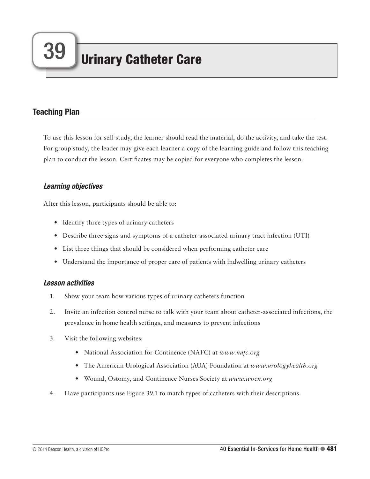# Teaching Plan

To use this lesson for self-study, the learner should read the material, do the activity, and take the test. For group study, the leader may give each learner a copy of the learning guide and follow this teaching plan to conduct the lesson. Certificates may be copied for everyone who completes the lesson.

# *Learning objectives*

After this lesson, participants should be able to:

- Identify three types of urinary catheters
- Describe three signs and symptoms of a catheter-associated urinary tract infection (UTI)
- List three things that should be considered when performing catheter care
- Understand the importance of proper care of patients with indwelling urinary catheters

# *Lesson activities*

- 1. Show your team how various types of urinary catheters function
- 2. Invite an infection control nurse to talk with your team about catheter-associated infections, the prevalence in home health settings, and measures to prevent infections
- 3. Visit the following websites:
	- National Association for Continence (NAFC) at *www.nafc.org*
	- The American Urological Association (AUA) Foundation at *www.urologyhealth.org*
	- Wound, Ostomy, and Continence Nurses Society at *www.wocn.org*
- 4. Have participants use Figure 39.1 to match types of catheters with their descriptions.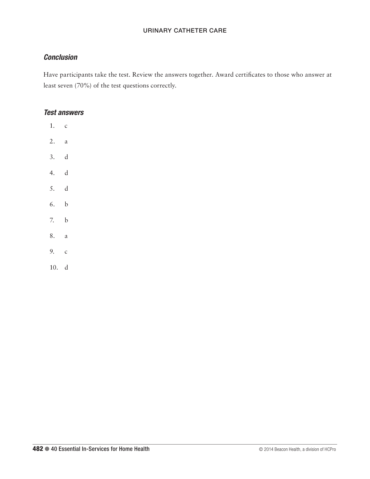# *Conclusion*

Have participants take the test. Review the answers together. Award certificates to those who answer at least seven (70%) of the test questions correctly.

# *Test answers*

1. c 2. a 3. d 4. d 5. d 6. b 7. b 8. a 9. c

10. d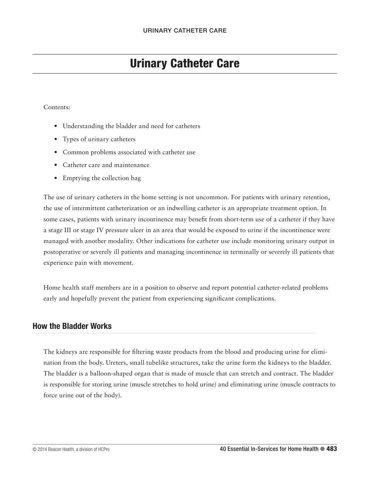# Urinary Catheter Care

#### Contents:

- Understanding the bladder and need for catheters
- Types of urinary catheters
- Common problems associated with catheter use
- Catheter care and maintenance
- Emptying the collection bag

The use of urinary catheters in the home setting is not uncommon. For patients with urinary retention, the use of intermittent catheterization or an indwelling catheter is an appropriate treatment option. In some cases, patients with urinary incontinence may benefit from short-term use of a catheter if they have a stage III or stage IV pressure ulcer in an area that would be exposed to urine if the incontinence were managed with another modality. Other indications for catheter use include monitoring urinary output in postoperative or severely ill patients and managing incontinence in terminally or severely ill patients that experience pain with movement.

Home health staff members are in a position to observe and report potential catheter-related problems early and hopefully prevent the patient from experiencing significant complications.

# How the Bladder Works

The kidneys are responsible for filtering waste products from the blood and producing urine for elimination from the body. Ureters, small tubelike structures, take the urine form the kidneys to the bladder. The bladder is a balloon-shaped organ that is made of muscle that can stretch and contract. The bladder is responsible for storing urine (muscle stretches to hold urine) and eliminating urine (muscle contracts to force urine out of the body).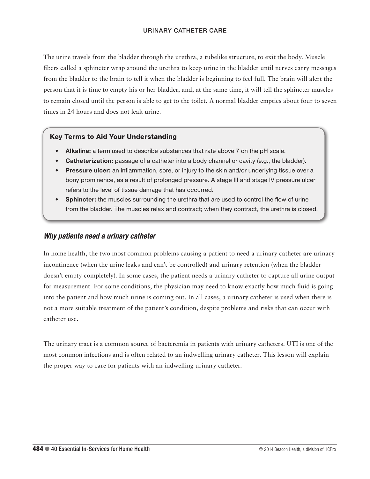The urine travels from the bladder through the urethra, a tubelike structure, to exit the body. Muscle fibers called a sphincter wrap around the urethra to keep urine in the bladder until nerves carry messages from the bladder to the brain to tell it when the bladder is beginning to feel full. The brain will alert the person that it is time to empty his or her bladder, and, at the same time, it will tell the sphincter muscles to remain closed until the person is able to get to the toilet. A normal bladder empties about four to seven times in 24 hours and does not leak urine.

#### Key Terms to Aid Your Understanding

- Alkaline: a term used to describe substances that rate above 7 on the pH scale.
- Catheterization: passage of a catheter into a body channel or cavity (e.g., the bladder).
- Pressure ulcer: an inflammation, sore, or injury to the skin and/or underlying tissue over a bony prominence, as a result of prolonged pressure. A stage III and stage IV pressure ulcer refers to the level of tissue damage that has occurred.
- Sphincter: the muscles surrounding the urethra that are used to control the flow of urine from the bladder. The muscles relax and contract; when they contract, the urethra is closed.

## *Why patients need a urinary catheter*

In home health, the two most common problems causing a patient to need a urinary catheter are urinary incontinence (when the urine leaks and can't be controlled) and urinary retention (when the bladder doesn't empty completely). In some cases, the patient needs a urinary catheter to capture all urine output for measurement. For some conditions, the physician may need to know exactly how much fluid is going into the patient and how much urine is coming out. In all cases, a urinary catheter is used when there is not a more suitable treatment of the patient's condition, despite problems and risks that can occur with catheter use.

The urinary tract is a common source of bacteremia in patients with urinary catheters. UTI is one of the most common infections and is often related to an indwelling urinary catheter. This lesson will explain the proper way to care for patients with an indwelling urinary catheter.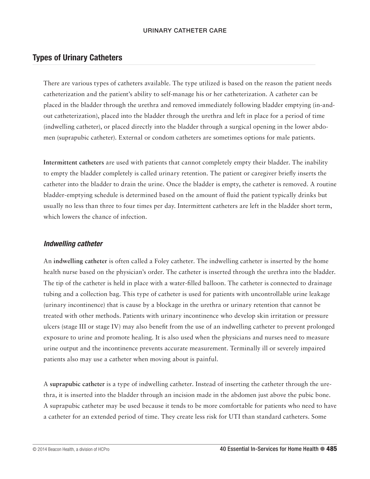# Types of Urinary Catheters

There are various types of catheters available. The type utilized is based on the reason the patient needs catheterization and the patient's ability to self-manage his or her catheterization. A catheter can be placed in the bladder through the urethra and removed immediately following bladder emptying (in-andout catheterization), placed into the bladder through the urethra and left in place for a period of time (indwelling catheter), or placed directly into the bladder through a surgical opening in the lower abdomen (suprapubic catheter). External or condom catheters are sometimes options for male patients.

**Intermittent catheters** are used with patients that cannot completely empty their bladder. The inability to empty the bladder completely is called urinary retention. The patient or caregiver briefly inserts the catheter into the bladder to drain the urine. Once the bladder is empty, the catheter is removed. A routine bladder-emptying schedule is determined based on the amount of fluid the patient typically drinks but usually no less than three to four times per day. Intermittent catheters are left in the bladder short term, which lowers the chance of infection.

# *Indwelling catheter*

An **indwelling catheter** is often called a Foley catheter. The indwelling catheter is inserted by the home health nurse based on the physician's order. The catheter is inserted through the urethra into the bladder. The tip of the catheter is held in place with a water-filled balloon. The catheter is connected to drainage tubing and a collection bag. This type of catheter is used for patients with uncontrollable urine leakage (urinary incontinence) that is cause by a blockage in the urethra or urinary retention that cannot be treated with other methods. Patients with urinary incontinence who develop skin irritation or pressure ulcers (stage III or stage IV) may also benefit from the use of an indwelling catheter to prevent prolonged exposure to urine and promote healing. It is also used when the physicians and nurses need to measure urine output and the incontinence prevents accurate measurement. Terminally ill or severely impaired patients also may use a catheter when moving about is painful.

A **suprapubic catheter** is a type of indwelling catheter. Instead of inserting the catheter through the urethra, it is inserted into the bladder through an incision made in the abdomen just above the pubic bone. A suprapubic catheter may be used because it tends to be more comfortable for patients who need to have a catheter for an extended period of time. They create less risk for UTI than standard catheters. Some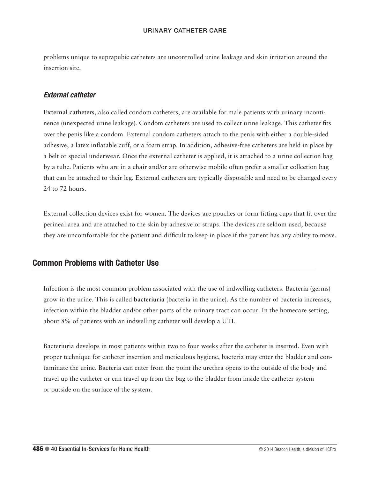problems unique to suprapubic catheters are uncontrolled urine leakage and skin irritation around the insertion site.

## *External catheter*

**External catheters**, also called condom catheters, are available for male patients with urinary incontinence (unexpected urine leakage). Condom catheters are used to collect urine leakage. This catheter fits over the penis like a condom. External condom catheters attach to the penis with either a double-sided adhesive, a latex inflatable cuff, or a foam strap. In addition, adhesive-free catheters are held in place by a belt or special underwear. Once the external catheter is applied, it is attached to a urine collection bag by a tube. Patients who are in a chair and/or are otherwise mobile often prefer a smaller collection bag that can be attached to their leg. External catheters are typically disposable and need to be changed every 24 to 72 hours.

External collection devices exist for women. The devices are pouches or form-fitting cups that fit over the perineal area and are attached to the skin by adhesive or straps. The devices are seldom used, because they are uncomfortable for the patient and difficult to keep in place if the patient has any ability to move.

# Common Problems with Catheter Use

Infection is the most common problem associated with the use of indwelling catheters. Bacteria (germs) grow in the urine. This is called **bacteriuria** (bacteria in the urine). As the number of bacteria increases, infection within the bladder and/or other parts of the urinary tract can occur. In the homecare setting, about 8% of patients with an indwelling catheter will develop a UTI.

Bacteriuria develops in most patients within two to four weeks after the catheter is inserted. Even with proper technique for catheter insertion and meticulous hygiene, bacteria may enter the bladder and contaminate the urine. Bacteria can enter from the point the urethra opens to the outside of the body and travel up the catheter or can travel up from the bag to the bladder from inside the catheter system or outside on the surface of the system.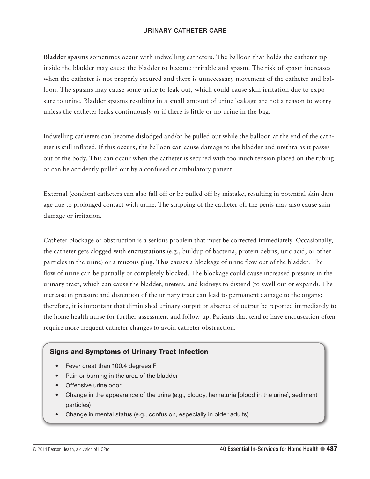**Bladder spasms** sometimes occur with indwelling catheters. The balloon that holds the catheter tip inside the bladder may cause the bladder to become irritable and spasm. The risk of spasm increases when the catheter is not properly secured and there is unnecessary movement of the catheter and balloon. The spasms may cause some urine to leak out, which could cause skin irritation due to exposure to urine. Bladder spasms resulting in a small amount of urine leakage are not a reason to worry unless the catheter leaks continuously or if there is little or no urine in the bag.

Indwelling catheters can become dislodged and/or be pulled out while the balloon at the end of the catheter is still inflated. If this occurs, the balloon can cause damage to the bladder and urethra as it passes out of the body. This can occur when the catheter is secured with too much tension placed on the tubing or can be accidently pulled out by a confused or ambulatory patient.

External (condom) catheters can also fall off or be pulled off by mistake, resulting in potential skin damage due to prolonged contact with urine. The stripping of the catheter off the penis may also cause skin damage or irritation.

Catheter blockage or obstruction is a serious problem that must be corrected immediately. Occasionally, the catheter gets clogged with **encrustations** (e.g., buildup of bacteria, protein debris, uric acid, or other particles in the urine) or a mucous plug. This causes a blockage of urine flow out of the bladder. The flow of urine can be partially or completely blocked. The blockage could cause increased pressure in the urinary tract, which can cause the bladder, ureters, and kidneys to distend (to swell out or expand). The increase in pressure and distention of the urinary tract can lead to permanent damage to the organs; therefore, it is important that diminished urinary output or absence of output be reported immediately to the home health nurse for further assessment and follow-up. Patients that tend to have encrustation often require more frequent catheter changes to avoid catheter obstruction.

#### Signs and Symptoms of Urinary Tract Infection

- Fever great than 100.4 degrees F
- Pain or burning in the area of the bladder
- Offensive urine odor
- Change in the appearance of the urine (e.g., cloudy, hematuria [blood in the urine], sediment particles)
- Change in mental status (e.g., confusion, especially in older adults)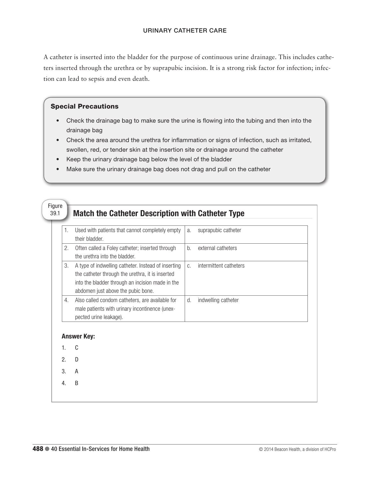A catheter is inserted into the bladder for the purpose of continuous urine drainage. This includes catheters inserted through the urethra or by suprapubic incision. It is a strong risk factor for infection; infection can lead to sepsis and even death.

## Special Precautions

- Check the drainage bag to make sure the urine is flowing into the tubing and then into the drainage bag
- Check the area around the urethra for inflammation or signs of infection, such as irritated, swollen, red, or tender skin at the insertion site or drainage around the catheter
- Keep the urinary drainage bag below the level of the bladder
- Make sure the urinary drainage bag does not drag and pull on the catheter

| 1. | Used with patients that cannot completely empty<br>their bladder.                                                                                                                                 | a.    | suprapubic catheter    |  |
|----|---------------------------------------------------------------------------------------------------------------------------------------------------------------------------------------------------|-------|------------------------|--|
| 2. | Often called a Foley catheter; inserted through<br>the urethra into the bladder.                                                                                                                  | $b$ . | external catheters     |  |
| 3. | A type of indwelling catheter. Instead of inserting<br>the catheter through the urethra, it is inserted<br>into the bladder through an incision made in the<br>abdomen just above the pubic bone. | C.    | intermittent catheters |  |
| 4. | Also called condom catheters, are available for<br>male patients with urinary incontinence (unex-<br>pected urine leakage).                                                                       | d.    | indwelling catheter    |  |
|    | <b>Answer Key:</b>                                                                                                                                                                                |       |                        |  |
| 1. | C                                                                                                                                                                                                 |       |                        |  |
| 2. | D                                                                                                                                                                                                 |       |                        |  |
| 3. | A                                                                                                                                                                                                 |       |                        |  |
| 4. | B                                                                                                                                                                                                 |       |                        |  |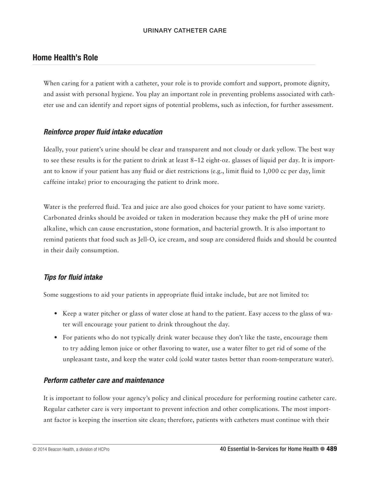# Home Health's Role

When caring for a patient with a catheter, your role is to provide comfort and support, promote dignity, and assist with personal hygiene. You play an important role in preventing problems associated with catheter use and can identify and report signs of potential problems, such as infection, for further assessment.

# *Reinforce proper fluid intake education*

Ideally, your patient's urine should be clear and transparent and not cloudy or dark yellow. The best way to see these results is for the patient to drink at least 8–12 eight-oz. glasses of liquid per day. It is important to know if your patient has any fluid or diet restrictions (e.g., limit fluid to 1,000 cc per day, limit caffeine intake) prior to encouraging the patient to drink more.

Water is the preferred fluid. Tea and juice are also good choices for your patient to have some variety. Carbonated drinks should be avoided or taken in moderation because they make the pH of urine more alkaline, which can cause encrustation, stone formation, and bacterial growth. It is also important to remind patients that food such as Jell-O, ice cream, and soup are considered fluids and should be counted in their daily consumption.

# *Tips for fluid intake*

Some suggestions to aid your patients in appropriate fluid intake include, but are not limited to:

- Keep a water pitcher or glass of water close at hand to the patient. Easy access to the glass of water will encourage your patient to drink throughout the day.
- For patients who do not typically drink water because they don't like the taste, encourage them to try adding lemon juice or other flavoring to water, use a water filter to get rid of some of the unpleasant taste, and keep the water cold (cold water tastes better than room-temperature water).

# *Perform catheter care and maintenance*

It is important to follow your agency's policy and clinical procedure for performing routine catheter care. Regular catheter care is very important to prevent infection and other complications. The most important factor is keeping the insertion site clean; therefore, patients with catheters must continue with their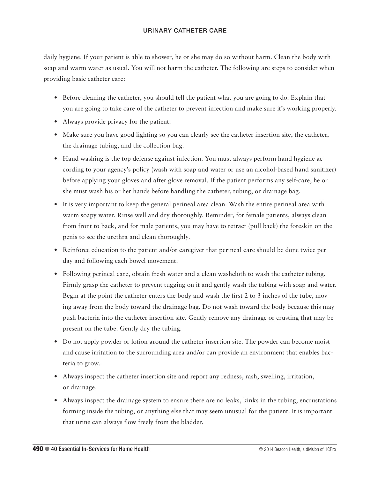daily hygiene. If your patient is able to shower, he or she may do so without harm. Clean the body with soap and warm water as usual. You will not harm the catheter. The following are steps to consider when providing basic catheter care:

- Before cleaning the catheter, you should tell the patient what you are going to do. Explain that you are going to take care of the catheter to prevent infection and make sure it's working properly.
- Always provide privacy for the patient.
- Make sure you have good lighting so you can clearly see the catheter insertion site, the catheter, the drainage tubing, and the collection bag.
- Hand washing is the top defense against infection. You must always perform hand hygiene according to your agency's policy (wash with soap and water or use an alcohol-based hand sanitizer) before applying your gloves and after glove removal. If the patient performs any self-care, he or she must wash his or her hands before handling the catheter, tubing, or drainage bag.
- It is very important to keep the general perineal area clean. Wash the entire perineal area with warm soapy water. Rinse well and dry thoroughly. Reminder, for female patients, always clean from front to back, and for male patients, you may have to retract (pull back) the foreskin on the penis to see the urethra and clean thoroughly.
- Reinforce education to the patient and/or caregiver that perineal care should be done twice per day and following each bowel movement.
- Following perineal care, obtain fresh water and a clean washcloth to wash the catheter tubing. Firmly grasp the catheter to prevent tugging on it and gently wash the tubing with soap and water. Begin at the point the catheter enters the body and wash the first 2 to 3 inches of the tube, moving away from the body toward the drainage bag. Do not wash toward the body because this may push bacteria into the catheter insertion site. Gently remove any drainage or crusting that may be present on the tube. Gently dry the tubing.
- Do not apply powder or lotion around the catheter insertion site. The powder can become moist and cause irritation to the surrounding area and/or can provide an environment that enables bacteria to grow.
- Always inspect the catheter insertion site and report any redness, rash, swelling, irritation, or drainage.
- Always inspect the drainage system to ensure there are no leaks, kinks in the tubing, encrustations forming inside the tubing, or anything else that may seem unusual for the patient. It is important that urine can always flow freely from the bladder.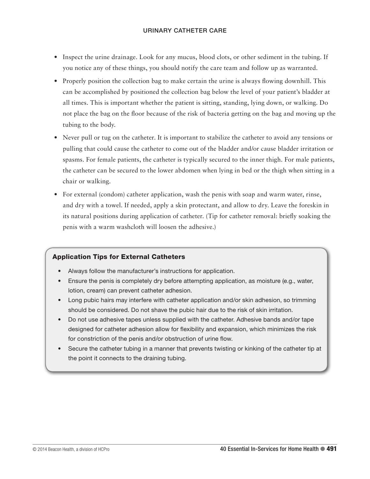- Inspect the urine drainage. Look for any mucus, blood clots, or other sediment in the tubing. If you notice any of these things, you should notify the care team and follow up as warranted.
- Properly position the collection bag to make certain the urine is always flowing downhill. This can be accomplished by positioned the collection bag below the level of your patient's bladder at all times. This is important whether the patient is sitting, standing, lying down, or walking. Do not place the bag on the floor because of the risk of bacteria getting on the bag and moving up the tubing to the body.
- Never pull or tug on the catheter. It is important to stabilize the catheter to avoid any tensions or pulling that could cause the catheter to come out of the bladder and/or cause bladder irritation or spasms. For female patients, the catheter is typically secured to the inner thigh. For male patients, the catheter can be secured to the lower abdomen when lying in bed or the thigh when sitting in a chair or walking.
- For external (condom) catheter application, wash the penis with soap and warm water, rinse, and dry with a towel. If needed, apply a skin protectant, and allow to dry. Leave the foreskin in its natural positions during application of catheter. (Tip for catheter removal: briefly soaking the penis with a warm washcloth will loosen the adhesive.)

# Application Tips for External Catheters

- Always follow the manufacturer's instructions for application.
- Ensure the penis is completely dry before attempting application, as moisture (e.g., water, lotion, cream) can prevent catheter adhesion.
- Long pubic hairs may interfere with catheter application and/or skin adhesion, so trimming should be considered. Do not shave the pubic hair due to the risk of skin irritation.
- Do not use adhesive tapes unless supplied with the catheter. Adhesive bands and/or tape designed for catheter adhesion allow for flexibility and expansion, which minimizes the risk for constriction of the penis and/or obstruction of urine flow.
- Secure the catheter tubing in a manner that prevents twisting or kinking of the catheter tip at the point it connects to the draining tubing.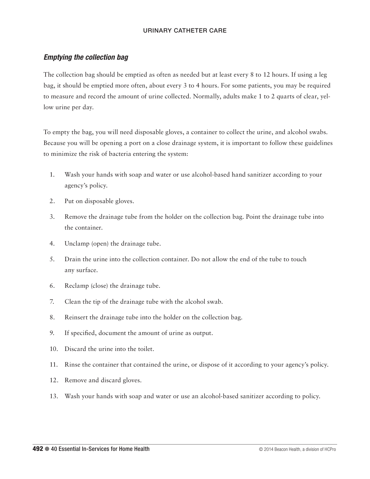# *Emptying the collection bag*

The collection bag should be emptied as often as needed but at least every 8 to 12 hours. If using a leg bag, it should be emptied more often, about every 3 to 4 hours. For some patients, you may be required to measure and record the amount of urine collected. Normally, adults make 1 to 2 quarts of clear, yellow urine per day.

To empty the bag, you will need disposable gloves, a container to collect the urine, and alcohol swabs. Because you will be opening a port on a close drainage system, it is important to follow these guidelines to minimize the risk of bacteria entering the system:

- 1. Wash your hands with soap and water or use alcohol-based hand sanitizer according to your agency's policy.
- 2. Put on disposable gloves.
- 3. Remove the drainage tube from the holder on the collection bag. Point the drainage tube into the container.
- 4. Unclamp (open) the drainage tube.
- 5. Drain the urine into the collection container. Do not allow the end of the tube to touch any surface.
- 6. Reclamp (close) the drainage tube.
- 7. Clean the tip of the drainage tube with the alcohol swab.
- 8. Reinsert the drainage tube into the holder on the collection bag.
- 9. If specified, document the amount of urine as output.
- 10. Discard the urine into the toilet.
- 11. Rinse the container that contained the urine, or dispose of it according to your agency's policy.
- 12. Remove and discard gloves.
- 13. Wash your hands with soap and water or use an alcohol-based sanitizer according to policy.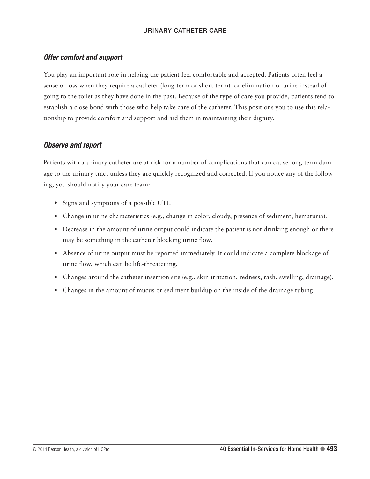# *Offer comfort and support*

You play an important role in helping the patient feel comfortable and accepted. Patients often feel a sense of loss when they require a catheter (long-term or short-term) for elimination of urine instead of going to the toilet as they have done in the past. Because of the type of care you provide, patients tend to establish a close bond with those who help take care of the catheter. This positions you to use this relationship to provide comfort and support and aid them in maintaining their dignity.

## *Observe and report*

Patients with a urinary catheter are at risk for a number of complications that can cause long-term damage to the urinary tract unless they are quickly recognized and corrected. If you notice any of the following, you should notify your care team:

- Signs and symptoms of a possible UTI.
- Change in urine characteristics (e.g., change in color, cloudy, presence of sediment, hematuria).
- Decrease in the amount of urine output could indicate the patient is not drinking enough or there may be something in the catheter blocking urine flow.
- Absence of urine output must be reported immediately. It could indicate a complete blockage of urine flow, which can be life-threatening.
- Changes around the catheter insertion site (e.g., skin irritation, redness, rash, swelling, drainage).
- Changes in the amount of mucus or sediment buildup on the inside of the drainage tubing.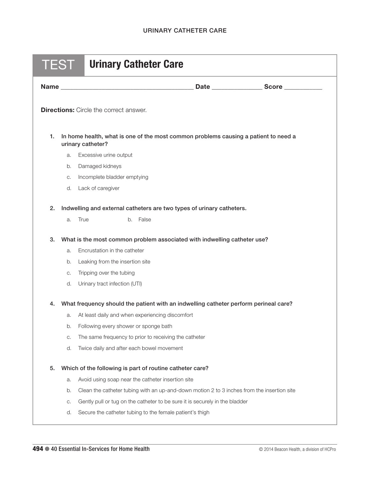| <b>TEST</b>                | <b>Urinary Catheter Care</b>                                                                                                                                                                             |  |
|----------------------------|----------------------------------------------------------------------------------------------------------------------------------------------------------------------------------------------------------|--|
|                            |                                                                                                                                                                                                          |  |
|                            | <b>Directions:</b> Circle the correct answer.                                                                                                                                                            |  |
| 1.                         | In home health, what is one of the most common problems causing a patient to need a<br>urinary catheter?                                                                                                 |  |
| a.                         | Excessive urine output                                                                                                                                                                                   |  |
| b.                         | Damaged kidneys                                                                                                                                                                                          |  |
| C.                         | Incomplete bladder emptying                                                                                                                                                                              |  |
| d.                         | Lack of caregiver                                                                                                                                                                                        |  |
| 2.                         | Indwelling and external catheters are two types of urinary catheters.                                                                                                                                    |  |
| a.                         | True<br>b. False                                                                                                                                                                                         |  |
| 3.<br>a.<br>b.<br>C.<br>d. | What is the most common problem associated with indwelling catheter use?<br>Encrustation in the catheter<br>Leaking from the insertion site<br>Tripping over the tubing<br>Urinary tract infection (UTI) |  |
| 4.                         | What frequency should the patient with an indwelling catheter perform perineal care?                                                                                                                     |  |
| a.                         | At least daily and when experiencing discomfort                                                                                                                                                          |  |
| b.                         | Following every shower or sponge bath                                                                                                                                                                    |  |
| C.                         | The same frequency to prior to receiving the catheter                                                                                                                                                    |  |
| d.                         | Twice daily and after each bowel movement                                                                                                                                                                |  |
| 5.                         | Which of the following is part of routine catheter care?                                                                                                                                                 |  |
| a.                         | Avoid using soap near the catheter insertion site                                                                                                                                                        |  |
| b.                         | Clean the catheter tubing with an up-and-down motion 2 to 3 inches from the insertion site                                                                                                               |  |
| С.                         | Gently pull or tug on the catheter to be sure it is securely in the bladder                                                                                                                              |  |
| d.                         | Secure the catheter tubing to the female patient's thigh                                                                                                                                                 |  |